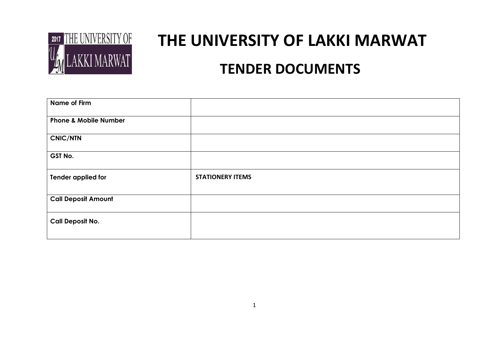

# **THE UNIVERSITY OF LAKKI MARWAT TENDER DOCUMENTS**

| Name of Firm                     |                         |
|----------------------------------|-------------------------|
| <b>Phone &amp; Mobile Number</b> |                         |
| <b>CNIC/NTN</b>                  |                         |
| GST No.                          |                         |
| Tender applied for               | <b>STATIONERY ITEMS</b> |
| <b>Call Deposit Amount</b>       |                         |
| <b>Call Deposit No.</b>          |                         |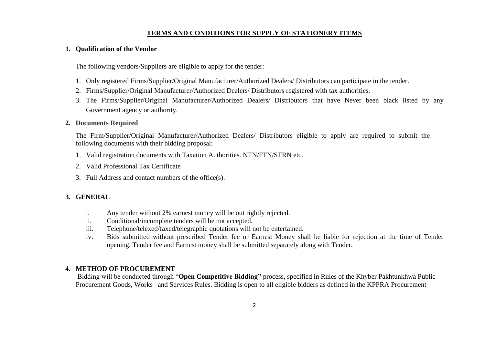#### **TERMS AND CONDITIONS FOR SUPPLY OF STATIONERY ITEMS**

#### **1. Qualification of the Vendor**

The following vendors/Suppliers are eligible to apply for the tender:

- 1. Only registered Firms/Supplier/Original Manufacturer/Authorized Dealers/ Distributors can participate in the tender.
- 2. Firms/Supplier/Original Manufacturer/Authorized Dealers/ Distributors registered with tax authorities.
- 3. The Firms/Supplier/Original Manufacturer/Authorized Dealers/ Distributors that have Never been black listed by any Government agency or authority.

#### **2. Documents Required**

The Firm/Supplier/Original Manufacturer/Authorized Dealers/ Distributors eligible to apply are required to submit the following documents with their bidding proposal:

- 1. Valid registration documents with Taxation Authorities. NTN/FTN/STRN etc.
- 2. Valid Professional Tax Certificate
- 3. Full Address and contact numbers of the office(s).

#### **3. GENERAL**

- i. Any tender without 2% earnest money will be out rightly rejected.
- ii. Conditional/incomplete tenders will be not accepted.
- iii. Telephone/telexed/faxed/telegraphic quotations will not be entertained.
- iv. Bids submitted without prescribed Tender fee or Earnest Money shall be liable for rejection at the time of Tender opening. Tender fee and Earnest money shall be submitted separately along with Tender.

#### **4. METHOD OF PROCUREMENT**

Bidding will be conducted through "**Open Competitive Bidding"** process, specified in Rules of the Khyber Pakhtunkhwa Public Procurement Goods, Works and Services Rules. Bidding is open to all eligible bidders as defined in the KPPRA Procurement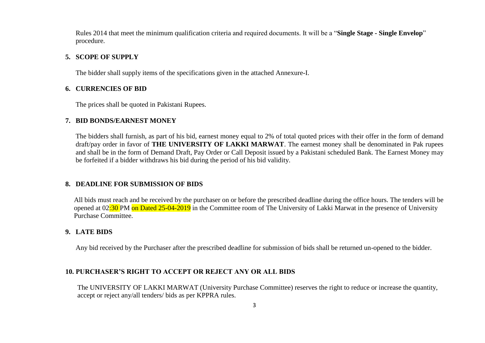Rules 2014 that meet the minimum qualification criteria and required documents. It will be a "**Single Stage - Single Envelop**" procedure.

#### **5. SCOPE OF SUPPLY**

The bidder shall supply items of the specifications given in the attached Annexure-I.

#### **6. CURRENCIES OF BID**

The prices shall be quoted in Pakistani Rupees.

#### **7. BID BONDS/EARNEST MONEY**

The bidders shall furnish, as part of his bid, earnest money equal to 2% of total quoted prices with their offer in the form of demand draft/pay order in favor of **THE UNIVERSITY OF LAKKI MARWAT**. The earnest money shall be denominated in Pak rupees and shall be in the form of Demand Draft, Pay Order or Call Deposit issued by a Pakistani scheduled Bank. The Earnest Money may be forfeited if a bidder withdraws his bid during the period of his bid validity.

#### **8. DEADLINE FOR SUBMISSION OF BIDS**

All bids must reach and be received by the purchaser on or before the prescribed deadline during the office hours. The tenders will be opened at 02:30 PM on Dated 25-04-2019 in the Committee room of The University of Lakki Marwat in the presence of University Purchase Committee.

#### **9. LATE BIDS**

Any bid received by the Purchaser after the prescribed deadline for submission of bids shall be returned un-opened to the bidder.

#### **10. PURCHASER'S RIGHT TO ACCEPT OR REJECT ANY OR ALL BIDS**

The UNIVERSITY OF LAKKI MARWAT (University Purchase Committee) reserves the right to reduce or increase the quantity, accept or reject any/all tenders/ bids as per KPPRA rules.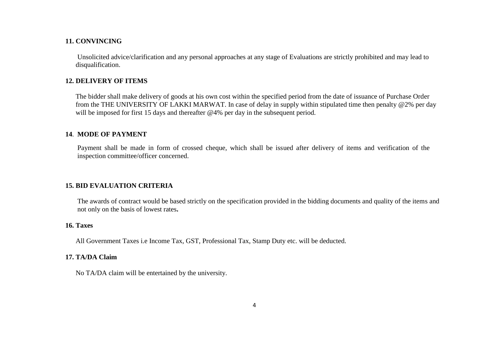#### **11. CONVINCING**

Unsolicited advice/clarification and any personal approaches at any stage of Evaluations are strictly prohibited and may lead to disqualification.

#### **12. DELIVERY OF ITEMS**

The bidder shall make delivery of goods at his own cost within the specified period from the date of issuance of Purchase Order from the THE UNIVERSITY OF LAKKI MARWAT. In case of delay in supply within stipulated time then penalty @2% per day will be imposed for first 15 days and thereafter @4% per day in the subsequent period.

#### **14**. **MODE OF PAYMENT**

Payment shall be made in form of crossed cheque, which shall be issued after delivery of items and verification of the inspection committee/officer concerned.

#### **15. BID EVALUATION CRITERIA**

The awards of contract would be based strictly on the specification provided in the bidding documents and quality of the items and not only on the basis of lowest rates**.**

#### **16. Taxes**

All Government Taxes i.e Income Tax, GST, Professional Tax, Stamp Duty etc. will be deducted.

#### **17. TA/DA Claim**

No TA/DA claim will be entertained by the university.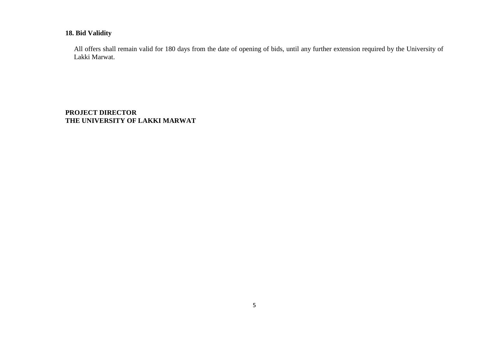#### **18. Bid Validity**

All offers shall remain valid for 180 days from the date of opening of bids, until any further extension required by the University of Lakki Marwat.

**PROJECT DIRECTOR THE UNIVERSITY OF LAKKI MARWAT**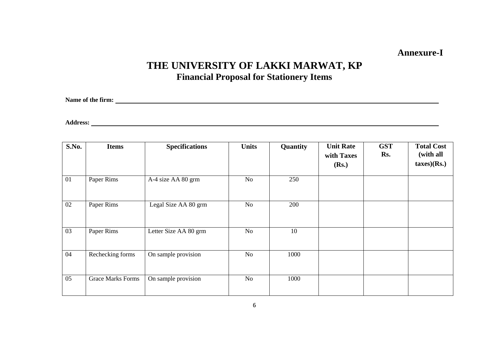### **Annexure-I**

## **THE UNIVERSITY OF LAKKI MARWAT, KP Financial Proposal for Stationery Items**

**Name of the firm:** 

**Address:** 

| S.No. | <b>Items</b>             | <b>Specifications</b> | <b>Units</b> | Quantity | <b>Unit Rate</b><br>with Taxes<br>(Rs.) | <b>GST</b><br>Rs. | <b>Total Cost</b><br>(with all<br>taxes)(Rs.) |
|-------|--------------------------|-----------------------|--------------|----------|-----------------------------------------|-------------------|-----------------------------------------------|
| 01    | Paper Rims               | A-4 size AA 80 grm    | No           | 250      |                                         |                   |                                               |
| 02    | Paper Rims               | Legal Size AA 80 grm  | No           | 200      |                                         |                   |                                               |
| 03    | Paper Rims               | Letter Size AA 80 grm | No           | 10       |                                         |                   |                                               |
| 04    | Rechecking forms         | On sample provision   | No           | 1000     |                                         |                   |                                               |
| 05    | <b>Grace Marks Forms</b> | On sample provision   | No           | 1000     |                                         |                   |                                               |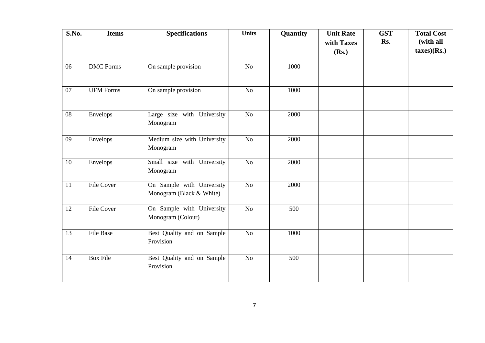| S.No. | <b>Items</b>     | <b>Specifications</b>                                 | <b>Units</b>    | Quantity | <b>Unit Rate</b><br>with Taxes | <b>GST</b><br>Rs. | <b>Total Cost</b><br>(with all |
|-------|------------------|-------------------------------------------------------|-----------------|----------|--------------------------------|-------------------|--------------------------------|
|       |                  |                                                       |                 |          | (Rs.)                          |                   | taxes)(Rs.)                    |
| 06    | <b>DMC</b> Forms | On sample provision                                   | No              | 1000     |                                |                   |                                |
| 07    | <b>UFM Forms</b> | On sample provision                                   | No              | 1000     |                                |                   |                                |
| 08    | Envelops         | Large size with University<br>Monogram                | No              | 2000     |                                |                   |                                |
| 09    | Envelops         | Medium size with University<br>Monogram               | $\overline{No}$ | 2000     |                                |                   |                                |
| 10    | Envelops         | Small size with University<br>Monogram                | No              | 2000     |                                |                   |                                |
| 11    | File Cover       | On Sample with University<br>Monogram (Black & White) | No              | 2000     |                                |                   |                                |
| 12    | File Cover       | On Sample with University<br>Monogram (Colour)        | No              | 500      |                                |                   |                                |
| 13    | <b>File Base</b> | Best Quality and on Sample<br>Provision               | N <sub>o</sub>  | 1000     |                                |                   |                                |
| 14    | Box File         | Best Quality and on Sample<br>Provision               | No              | 500      |                                |                   |                                |